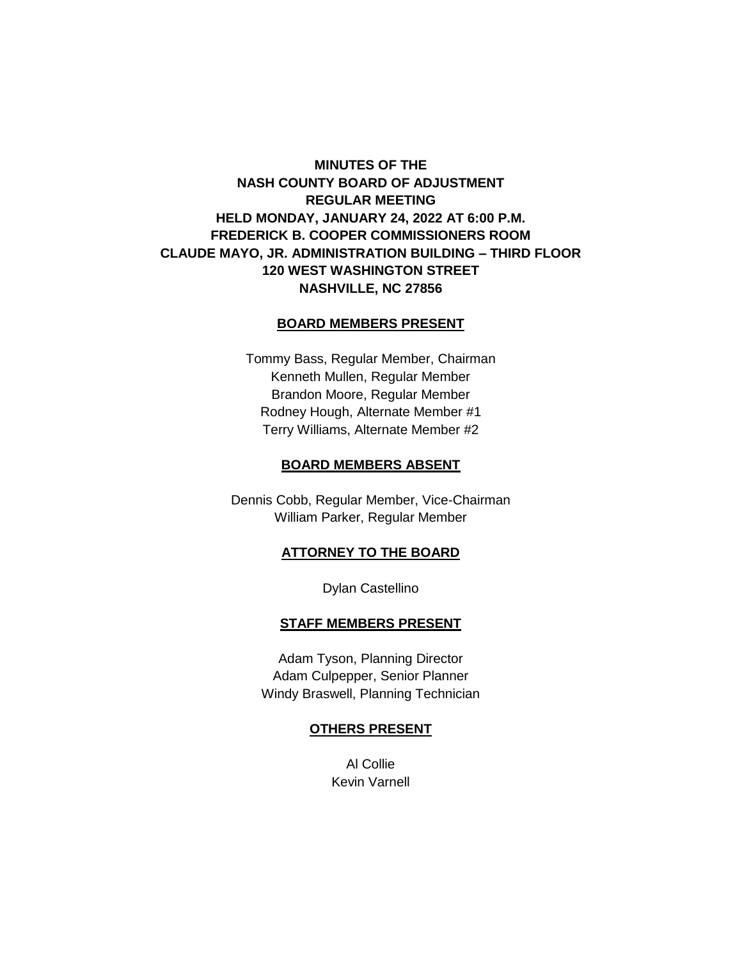# **MINUTES OF THE NASH COUNTY BOARD OF ADJUSTMENT REGULAR MEETING HELD MONDAY, JANUARY 24, 2022 AT 6:00 P.M. FREDERICK B. COOPER COMMISSIONERS ROOM CLAUDE MAYO, JR. ADMINISTRATION BUILDING – THIRD FLOOR 120 WEST WASHINGTON STREET NASHVILLE, NC 27856**

# **BOARD MEMBERS PRESENT**

Tommy Bass, Regular Member, Chairman Kenneth Mullen, Regular Member Brandon Moore, Regular Member Rodney Hough, Alternate Member #1 Terry Williams, Alternate Member #2

#### **BOARD MEMBERS ABSENT**

Dennis Cobb, Regular Member, Vice-Chairman William Parker, Regular Member

# **ATTORNEY TO THE BOARD**

Dylan Castellino

#### **STAFF MEMBERS PRESENT**

Adam Tyson, Planning Director Adam Culpepper, Senior Planner Windy Braswell, Planning Technician

#### **OTHERS PRESENT**

Al Collie Kevin Varnell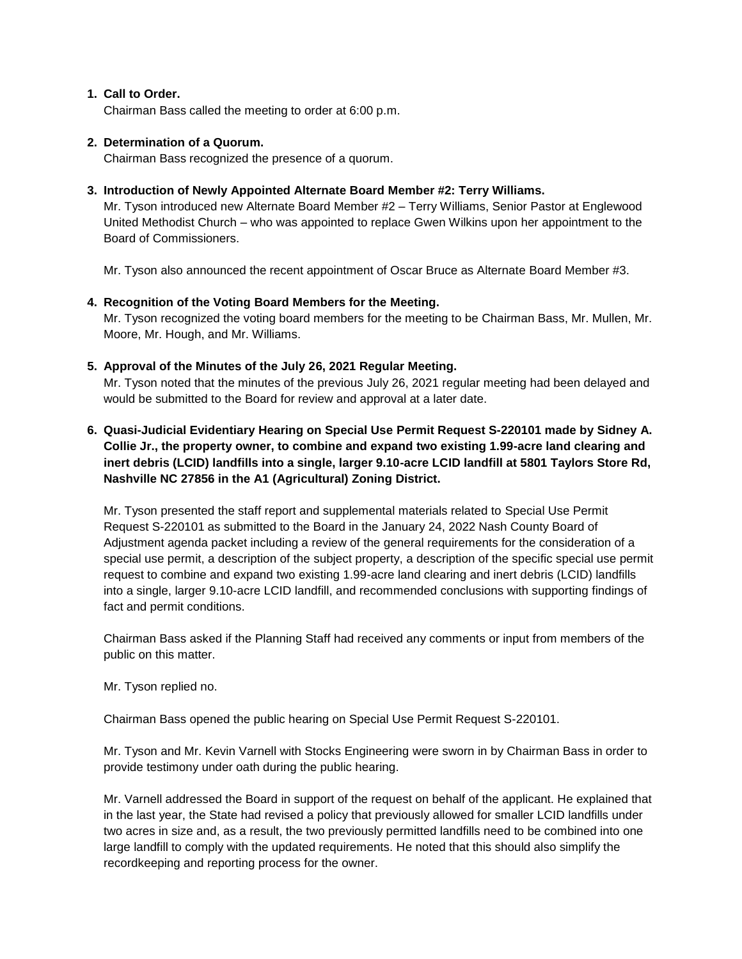# **1. Call to Order.**

Chairman Bass called the meeting to order at 6:00 p.m.

#### **2. Determination of a Quorum.**

Chairman Bass recognized the presence of a quorum.

# **3. Introduction of Newly Appointed Alternate Board Member #2: Terry Williams.**

Mr. Tyson introduced new Alternate Board Member #2 – Terry Williams, Senior Pastor at Englewood United Methodist Church – who was appointed to replace Gwen Wilkins upon her appointment to the Board of Commissioners.

Mr. Tyson also announced the recent appointment of Oscar Bruce as Alternate Board Member #3.

# **4. Recognition of the Voting Board Members for the Meeting.**

Mr. Tyson recognized the voting board members for the meeting to be Chairman Bass, Mr. Mullen, Mr. Moore, Mr. Hough, and Mr. Williams.

# **5. Approval of the Minutes of the July 26, 2021 Regular Meeting.**

Mr. Tyson noted that the minutes of the previous July 26, 2021 regular meeting had been delayed and would be submitted to the Board for review and approval at a later date.

# **6. Quasi-Judicial Evidentiary Hearing on Special Use Permit Request S-220101 made by Sidney A. Collie Jr., the property owner, to combine and expand two existing 1.99-acre land clearing and inert debris (LCID) landfills into a single, larger 9.10-acre LCID landfill at 5801 Taylors Store Rd, Nashville NC 27856 in the A1 (Agricultural) Zoning District.**

Mr. Tyson presented the staff report and supplemental materials related to Special Use Permit Request S-220101 as submitted to the Board in the January 24, 2022 Nash County Board of Adjustment agenda packet including a review of the general requirements for the consideration of a special use permit, a description of the subject property, a description of the specific special use permit request to combine and expand two existing 1.99-acre land clearing and inert debris (LCID) landfills into a single, larger 9.10-acre LCID landfill, and recommended conclusions with supporting findings of fact and permit conditions.

Chairman Bass asked if the Planning Staff had received any comments or input from members of the public on this matter.

Mr. Tyson replied no.

Chairman Bass opened the public hearing on Special Use Permit Request S-220101.

Mr. Tyson and Mr. Kevin Varnell with Stocks Engineering were sworn in by Chairman Bass in order to provide testimony under oath during the public hearing.

Mr. Varnell addressed the Board in support of the request on behalf of the applicant. He explained that in the last year, the State had revised a policy that previously allowed for smaller LCID landfills under two acres in size and, as a result, the two previously permitted landfills need to be combined into one large landfill to comply with the updated requirements. He noted that this should also simplify the recordkeeping and reporting process for the owner.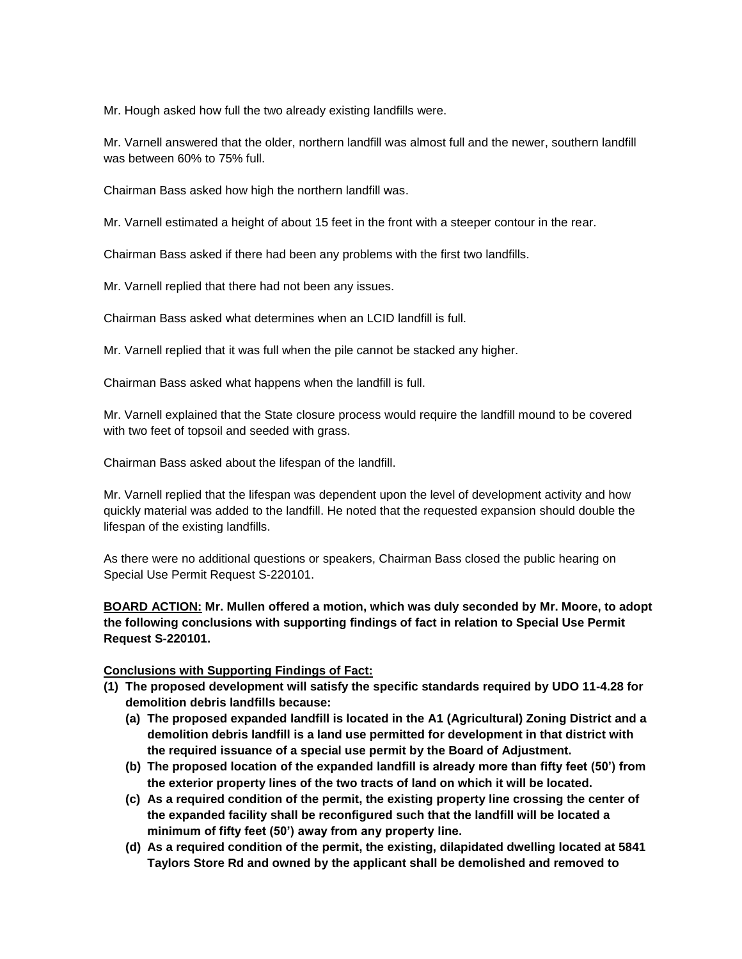Mr. Hough asked how full the two already existing landfills were.

Mr. Varnell answered that the older, northern landfill was almost full and the newer, southern landfill was between 60% to 75% full.

Chairman Bass asked how high the northern landfill was.

Mr. Varnell estimated a height of about 15 feet in the front with a steeper contour in the rear.

Chairman Bass asked if there had been any problems with the first two landfills.

Mr. Varnell replied that there had not been any issues.

Chairman Bass asked what determines when an LCID landfill is full.

Mr. Varnell replied that it was full when the pile cannot be stacked any higher.

Chairman Bass asked what happens when the landfill is full.

Mr. Varnell explained that the State closure process would require the landfill mound to be covered with two feet of topsoil and seeded with grass.

Chairman Bass asked about the lifespan of the landfill.

Mr. Varnell replied that the lifespan was dependent upon the level of development activity and how quickly material was added to the landfill. He noted that the requested expansion should double the lifespan of the existing landfills.

As there were no additional questions or speakers, Chairman Bass closed the public hearing on Special Use Permit Request S-220101.

**BOARD ACTION: Mr. Mullen offered a motion, which was duly seconded by Mr. Moore, to adopt the following conclusions with supporting findings of fact in relation to Special Use Permit Request S-220101.**

#### **Conclusions with Supporting Findings of Fact:**

- **(1) The proposed development will satisfy the specific standards required by UDO 11-4.28 for demolition debris landfills because:**
	- **(a) The proposed expanded landfill is located in the A1 (Agricultural) Zoning District and a demolition debris landfill is a land use permitted for development in that district with the required issuance of a special use permit by the Board of Adjustment.**
	- **(b) The proposed location of the expanded landfill is already more than fifty feet (50') from the exterior property lines of the two tracts of land on which it will be located.**
	- **(c) As a required condition of the permit, the existing property line crossing the center of the expanded facility shall be reconfigured such that the landfill will be located a minimum of fifty feet (50') away from any property line.**
	- **(d) As a required condition of the permit, the existing, dilapidated dwelling located at 5841 Taylors Store Rd and owned by the applicant shall be demolished and removed to**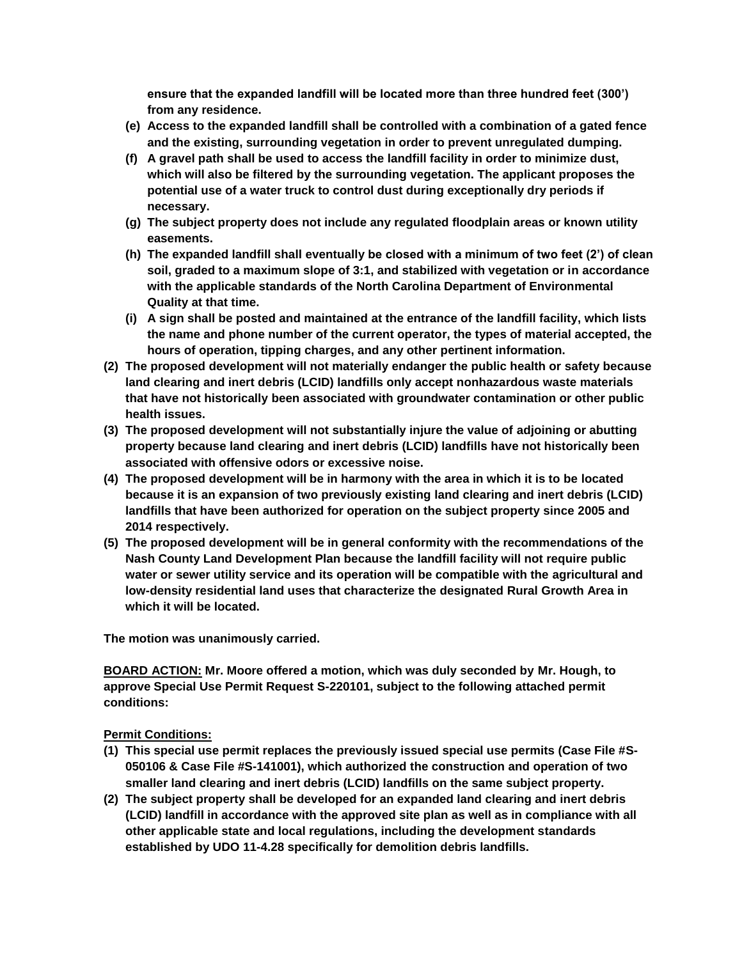**ensure that the expanded landfill will be located more than three hundred feet (300') from any residence.**

- **(e) Access to the expanded landfill shall be controlled with a combination of a gated fence and the existing, surrounding vegetation in order to prevent unregulated dumping.**
- **(f) A gravel path shall be used to access the landfill facility in order to minimize dust, which will also be filtered by the surrounding vegetation. The applicant proposes the potential use of a water truck to control dust during exceptionally dry periods if necessary.**
- **(g) The subject property does not include any regulated floodplain areas or known utility easements.**
- **(h) The expanded landfill shall eventually be closed with a minimum of two feet (2') of clean soil, graded to a maximum slope of 3:1, and stabilized with vegetation or in accordance with the applicable standards of the North Carolina Department of Environmental Quality at that time.**
- **(i) A sign shall be posted and maintained at the entrance of the landfill facility, which lists the name and phone number of the current operator, the types of material accepted, the hours of operation, tipping charges, and any other pertinent information.**
- **(2) The proposed development will not materially endanger the public health or safety because land clearing and inert debris (LCID) landfills only accept nonhazardous waste materials that have not historically been associated with groundwater contamination or other public health issues.**
- **(3) The proposed development will not substantially injure the value of adjoining or abutting property because land clearing and inert debris (LCID) landfills have not historically been associated with offensive odors or excessive noise.**
- **(4) The proposed development will be in harmony with the area in which it is to be located because it is an expansion of two previously existing land clearing and inert debris (LCID) landfills that have been authorized for operation on the subject property since 2005 and 2014 respectively.**
- **(5) The proposed development will be in general conformity with the recommendations of the Nash County Land Development Plan because the landfill facility will not require public water or sewer utility service and its operation will be compatible with the agricultural and low-density residential land uses that characterize the designated Rural Growth Area in which it will be located.**

**The motion was unanimously carried.**

**BOARD ACTION: Mr. Moore offered a motion, which was duly seconded by Mr. Hough, to approve Special Use Permit Request S-220101, subject to the following attached permit conditions:**

**Permit Conditions:**

- **(1) This special use permit replaces the previously issued special use permits (Case File #S-050106 & Case File #S-141001), which authorized the construction and operation of two smaller land clearing and inert debris (LCID) landfills on the same subject property.**
- **(2) The subject property shall be developed for an expanded land clearing and inert debris (LCID) landfill in accordance with the approved site plan as well as in compliance with all other applicable state and local regulations, including the development standards established by UDO 11-4.28 specifically for demolition debris landfills.**